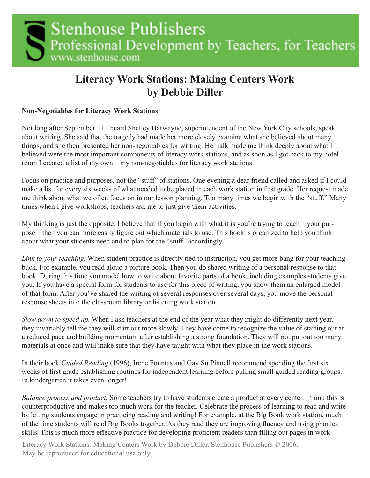## **Literacy Work Stations: Making Centers Work by Debbie Diller**

## **Non-Negotiables for Literacy Work Stations**

Not long after September 11 I heard Shelley Harwayne, superintendent of the New York City schools, speak about writing. She said that the tragedy had made her more closely examine what she believed about many things, and she then presented her non-negotiables for writing. Her talk made me think deeply about what I believed were the most important components of literacy work stations, and as soon as I got back to my hotel room I created a list of my own—my non-negotiables for literacy work stations.

Focus on practice and purposes, not the "stuff" of stations. One evening a dear friend called and asked if I could make a list for every six weeks of what needed to be placed in each work station in first grade. Her request made me think about what we often focus on in our lesson planning. Too many times we begin with the "stuff." Many times when I give workshops, teachers ask me to just give them activities.

My thinking is just the opposite. I believe that if you begin with what it is you're trying to teach—your purpose—then you can more easily figure out which materials to use. This book is organized to help you think about what your students need and to plan for the "stuff" accordingly.

*Link to your teaching.* When student practice is directly tied to instruction, you get more bang for your teaching buck. For example, you read aloud a picture book. Then you do shared writing of a personal response to that book. During this time you model how to write about favorite parts of a book, including examples students give you. If you have a special form for students to use for this piece of writing, you show them an enlarged model of that form. After you've shared the writing of several responses over several days, you move the personal response sheets into the classroom library or listening work station.

*Slow down to speed up.* When I ask teachers at the end of the year what they might do differently next year, they invariably tell me they will start out more slowly. They have come to recognize the value of starting out at a reduced pace and building momentum after establishing a strong foundation. They will not put out too many materials at once and will make sure that they have taught with what they place in the work stations.

In their book *Guided Reading* (1996), Irene Fountas and Gay Su Pinnell recommend spending the first six weeks of first grade establishing routines for independent learning before pulling small guided reading groups. In kindergarten it takes even longer!

*Balance process and product.* Some teachers try to have students create a product at every center. I think this is counterproductive and makes too much work for the teacher. Celebrate the process of learning to read and write by letting students engage in practicing reading and writing! For example, at the Big Book work station, much of the time students will read Big Books together. As they read they are improving fluency and using phonics skills. This is much more effective practice for developing proficient readers than filling out pages in work-

Literacy Work Stations: Making Centers Work by Debbie Diller. Stenhouse Publishers © 2006. May be reproduced for educational use only.